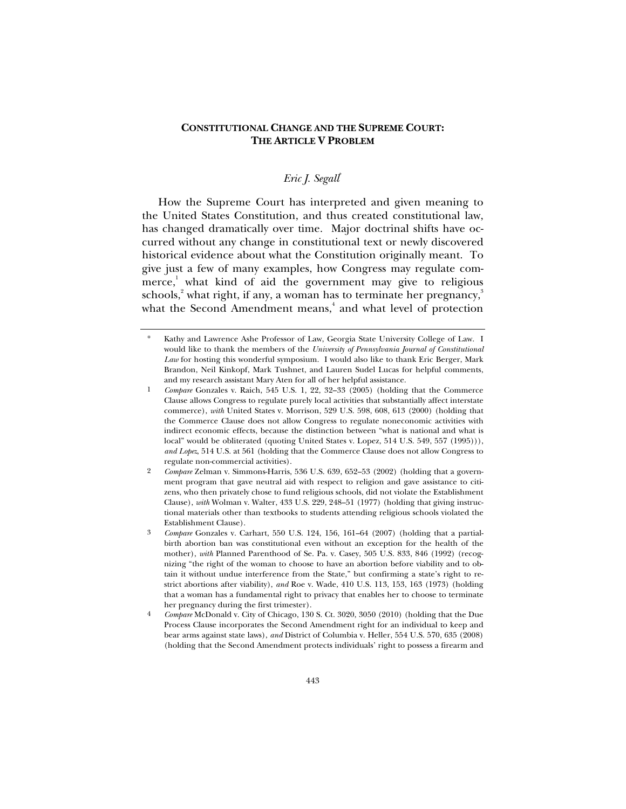## **CONSTITUTIONAL CHANGE AND THE SUPREME COURT: THE ARTICLE V PROBLEM**

# *Eric J. Segall*\*

How the Supreme Court has interpreted and given meaning to the United States Constitution, and thus created constitutional law, has changed dramatically over time. Major doctrinal shifts have occurred without any change in constitutional text or newly discovered historical evidence about what the Constitution originally meant. To give just a few of many examples, how Congress may regulate commerce,<sup>1</sup> what kind of aid the government may give to religious schools, $^{\textrm{2}}$  what right, if any, a woman has to terminate her pregnancy, $^{\textrm{3}}$ what the Second Amendment means,<sup>4</sup> and what level of protection

Kathy and Lawrence Ashe Professor of Law, Georgia State University College of Law. I would like to thank the members of the *University of Pennsylvania Journal of Constitutional Law* for hosting this wonderful symposium. I would also like to thank Eric Berger, Mark Brandon, Neil Kinkopf, Mark Tushnet, and Lauren Sudel Lucas for helpful comments, and my research assistant Mary Aten for all of her helpful assistance.

<sup>1</sup> *Compare* Gonzales v. Raich, 545 U.S. 1, 22, 32–33 (2005) (holding that the Commerce Clause allows Congress to regulate purely local activities that substantially affect interstate commerce), *with* United States v. Morrison, 529 U.S. 598, 608, 613 (2000) (holding that the Commerce Clause does not allow Congress to regulate noneconomic activities with indirect economic effects, because the distinction between "what is national and what is local" would be obliterated (quoting United States v. Lopez, 514 U.S. 549, 557 (1995))), *and Lopez*, 514 U.S. at 561 (holding that the Commerce Clause does not allow Congress to regulate non-commercial activities).

<sup>2</sup> *Compare* Zelman v. Simmons-Harris, 536 U.S. 639, 652–53 (2002) (holding that a government program that gave neutral aid with respect to religion and gave assistance to citizens, who then privately chose to fund religious schools, did not violate the Establishment Clause), *with* Wolman v. Walter, 433 U.S. 229, 248–51 (1977) (holding that giving instructional materials other than textbooks to students attending religious schools violated the Establishment Clause).

<sup>3</sup> *Compare* Gonzales v. Carhart, 550 U.S. 124, 156, 161–64 (2007) (holding that a partialbirth abortion ban was constitutional even without an exception for the health of the mother), *with* Planned Parenthood of Se. Pa. v. Casey, 505 U.S. 833, 846 (1992) (recognizing "the right of the woman to choose to have an abortion before viability and to obtain it without undue interference from the State," but confirming a state's right to restrict abortions after viability), *and* Roe v. Wade, 410 U.S. 113, 153, 163 (1973) (holding that a woman has a fundamental right to privacy that enables her to choose to terminate her pregnancy during the first trimester).

<sup>4</sup> *Compare* McDonald v. City of Chicago, 130 S. Ct. 3020, 3050 (2010) (holding that the Due Process Clause incorporates the Second Amendment right for an individual to keep and bear arms against state laws), *and* District of Columbia v. Heller, 554 U.S. 570, 635 (2008) (holding that the Second Amendment protects individuals' right to possess a firearm and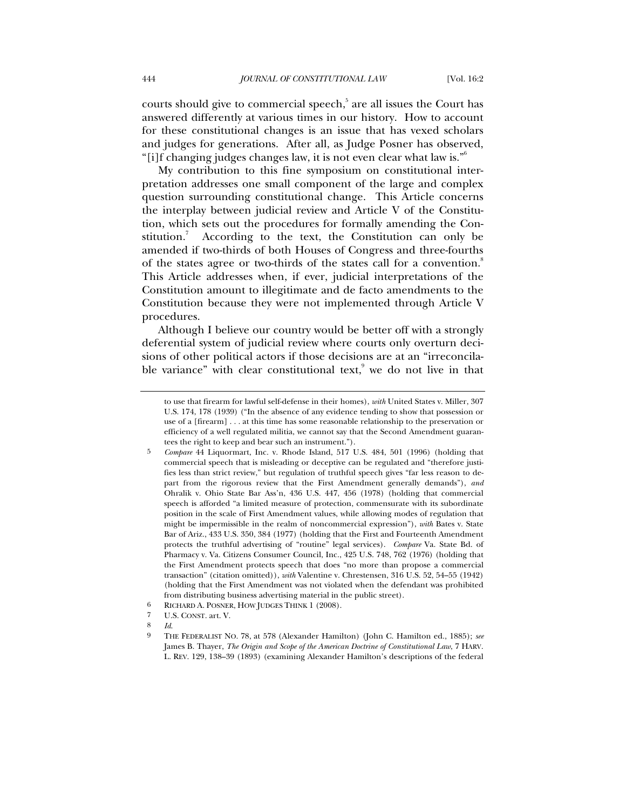courts should give to commercial speech,<sup>5</sup> are all issues the Court has answered differently at various times in our history. How to account for these constitutional changes is an issue that has vexed scholars and judges for generations. After all, as Judge Posner has observed, "[i]f changing judges changes law, it is not even clear what law is."6

My contribution to this fine symposium on constitutional interpretation addresses one small component of the large and complex question surrounding constitutional change. This Article concerns the interplay between judicial review and Article V of the Constitution, which sets out the procedures for formally amending the Constitution.<sup>7</sup> According to the text, the Constitution can only be amended if two-thirds of both Houses of Congress and three-fourths of the states agree or two-thirds of the states call for a convention.<sup>8</sup> This Article addresses when, if ever, judicial interpretations of the Constitution amount to illegitimate and de facto amendments to the Constitution because they were not implemented through Article V procedures.

Although I believe our country would be better off with a strongly deferential system of judicial review where courts only overturn decisions of other political actors if those decisions are at an "irreconcilable variance" with clear constitutional text, we do not live in that

8 *Id*.

to use that firearm for lawful self-defense in their homes), *with* United States v. Miller, 307 U.S. 174, 178 (1939) ("In the absence of any evidence tending to show that possession or use of a [firearm] . . . at this time has some reasonable relationship to the preservation or efficiency of a well regulated militia, we cannot say that the Second Amendment guarantees the right to keep and bear such an instrument.").

<sup>5</sup> *Compare* 44 Liquormart, Inc. v. Rhode Island, 517 U.S. 484, 501 (1996) (holding that commercial speech that is misleading or deceptive can be regulated and "therefore justifies less than strict review," but regulation of truthful speech gives "far less reason to depart from the rigorous review that the First Amendment generally demands"), *and* Ohralik v. Ohio State Bar Ass'n, 436 U.S. 447, 456 (1978) (holding that commercial speech is afforded "a limited measure of protection, commensurate with its subordinate position in the scale of First Amendment values, while allowing modes of regulation that might be impermissible in the realm of noncommercial expression"), *with* Bates v. State Bar of Ariz., 433 U.S. 350, 384 (1977) (holding that the First and Fourteenth Amendment protects the truthful advertising of "routine" legal services). *Compare* Va. State Bd. of Pharmacy v. Va. Citizens Consumer Council, Inc., 425 U.S. 748, 762 (1976) (holding that the First Amendment protects speech that does "no more than propose a commercial transaction" (citation omitted)), *with* Valentine v. Chrestensen, 316 U.S. 52, 54–55 (1942) (holding that the First Amendment was not violated when the defendant was prohibited from distributing business advertising material in the public street).

<sup>6</sup> RICHARD A. POSNER, HOW JUDGES THINK 1 (2008).<br>
7 ILS CONST art V

<sup>7</sup> U.S. CONST. art. V.

<sup>9</sup> THE FEDERALIST NO. 78, at 578 (Alexander Hamilton) (John C. Hamilton ed., 1885); *see*  James B. Thayer, *The Origin and Scope of the American Doctrine of Constitutional Law*, 7 HARV. L. REV. 129, 138–39 (1893) (examining Alexander Hamilton's descriptions of the federal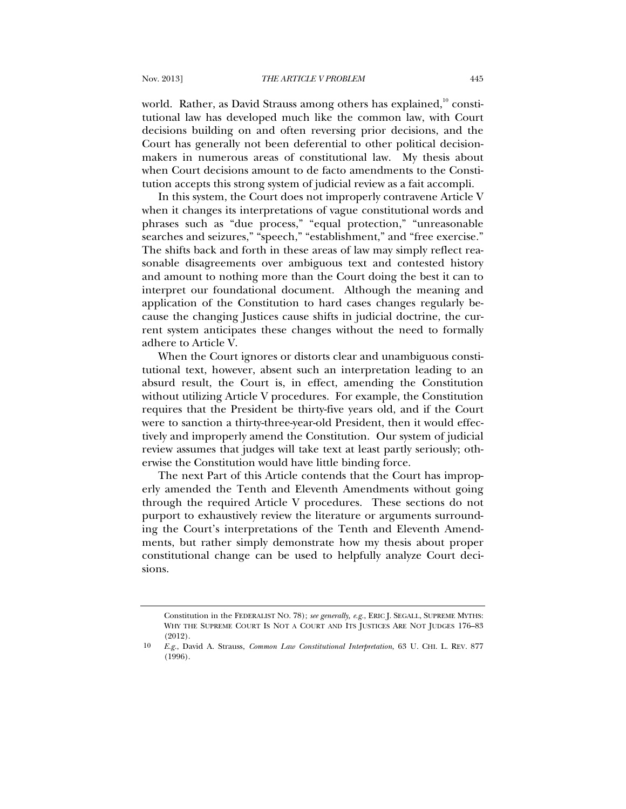world. Rather, as David Strauss among others has explained, $^{10}$  constitutional law has developed much like the common law, with Court decisions building on and often reversing prior decisions, and the Court has generally not been deferential to other political decisionmakers in numerous areas of constitutional law. My thesis about when Court decisions amount to de facto amendments to the Constitution accepts this strong system of judicial review as a fait accompli.

In this system, the Court does not improperly contravene Article V when it changes its interpretations of vague constitutional words and phrases such as "due process," "equal protection," "unreasonable searches and seizures," "speech," "establishment," and "free exercise." The shifts back and forth in these areas of law may simply reflect reasonable disagreements over ambiguous text and contested history and amount to nothing more than the Court doing the best it can to interpret our foundational document. Although the meaning and application of the Constitution to hard cases changes regularly because the changing Justices cause shifts in judicial doctrine, the current system anticipates these changes without the need to formally adhere to Article V.

When the Court ignores or distorts clear and unambiguous constitutional text, however, absent such an interpretation leading to an absurd result, the Court is, in effect, amending the Constitution without utilizing Article V procedures. For example, the Constitution requires that the President be thirty-five years old, and if the Court were to sanction a thirty-three-year-old President, then it would effectively and improperly amend the Constitution. Our system of judicial review assumes that judges will take text at least partly seriously; otherwise the Constitution would have little binding force.

The next Part of this Article contends that the Court has improperly amended the Tenth and Eleventh Amendments without going through the required Article V procedures. These sections do not purport to exhaustively review the literature or arguments surrounding the Court's interpretations of the Tenth and Eleventh Amendments, but rather simply demonstrate how my thesis about proper constitutional change can be used to helpfully analyze Court decisions.

Constitution in the FEDERALIST NO. 78); *see generally, e.g.*, ERIC J. SEGALL, SUPREME MYTHS: WHY THE SUPREME COURT IS NOT A COURT AND ITS JUSTICES ARE NOT JUDGES 176–83 (2012).

<sup>10</sup> *E.g.*, David A. Strauss, *Common Law Constitutional Interpretation*, 63 U. CHI. L. REV. 877 (1996).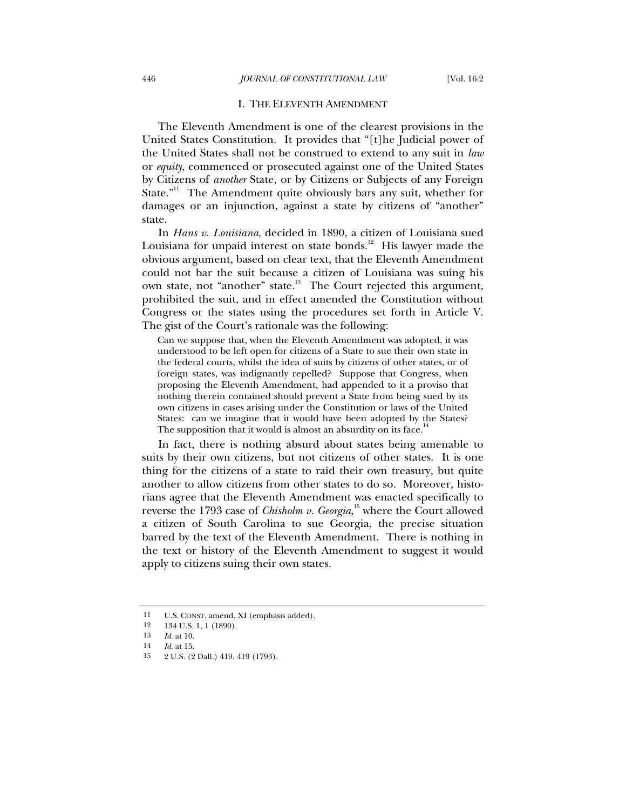#### I. THE ELEVENTH AMENDMENT

The Eleventh Amendment is one of the clearest provisions in the United States Constitution. It provides that "[t]he Judicial power of the United States shall not be construed to extend to any suit in *law* or *equity*, commenced or prosecuted against one of the United States by Citizens of *another* State, or by Citizens or Subjects of any Foreign State. $"$ <sup>11</sup> The Amendment quite obviously bars any suit, whether for damages or an injunction, against a state by citizens of "another" state.

In *Hans v. Louisiana*, decided in 1890, a citizen of Louisiana sued Louisiana for unpaid interest on state bonds.<sup>12</sup> His lawyer made the obvious argument, based on clear text, that the Eleventh Amendment could not bar the suit because a citizen of Louisiana was suing his own state, not "another" state.<sup>13</sup> The Court rejected this argument, prohibited the suit, and in effect amended the Constitution without Congress or the states using the procedures set forth in Article V. The gist of the Court's rationale was the following:

Can we suppose that, when the Eleventh Amendment was adopted, it was understood to be left open for citizens of a State to sue their own state in the federal courts, whilst the idea of suits by citizens of other states, or of foreign states, was indignantly repelled? Suppose that Congress, when proposing the Eleventh Amendment, had appended to it a proviso that nothing therein contained should prevent a State from being sued by its own citizens in cases arising under the Constitution or laws of the United States: can we imagine that it would have been adopted by the States? The supposition that it would is almost an absurdity on its face.<sup>14</sup>

In fact, there is nothing absurd about states being amenable to suits by their own citizens, but not citizens of other states. It is one thing for the citizens of a state to raid their own treasury, but quite another to allow citizens from other states to do so. Moreover, historians agree that the Eleventh Amendment was enacted specifically to reverse the 1793 case of *Chisholm v. Georgia*,<sup>15</sup> where the Court allowed a citizen of South Carolina to sue Georgia, the precise situation barred by the text of the Eleventh Amendment. There is nothing in the text or history of the Eleventh Amendment to suggest it would apply to citizens suing their own states.

<sup>11</sup> U.S. CONST. amend. XI (emphasis added).<br>12 134 U.S. 1, 1 (1890).

<sup>12 134</sup> U.S. 1, 1 (1890).

<sup>13</sup> *Id.* at 10.

<sup>14</sup> *Id.* at 15.

<sup>15 2</sup> U.S. (2 Dall.) 419, 419 (1793).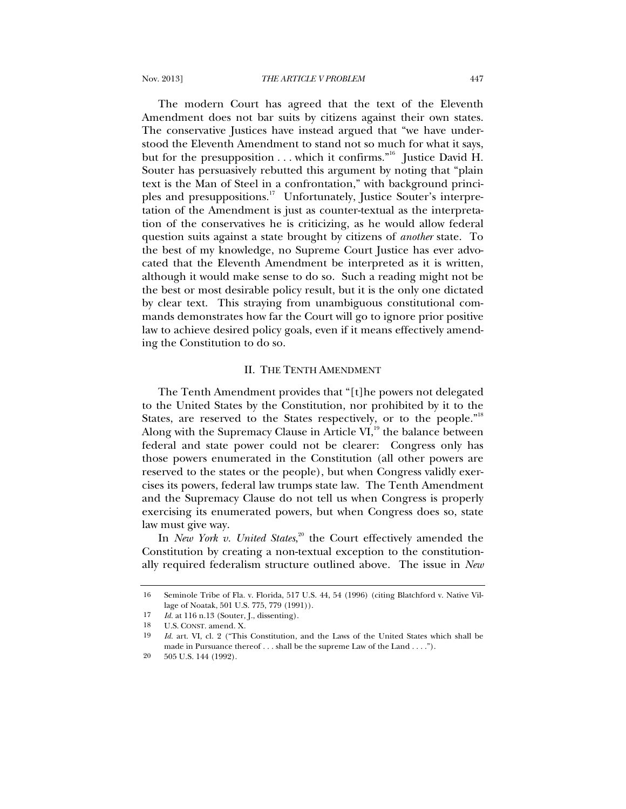The modern Court has agreed that the text of the Eleventh Amendment does not bar suits by citizens against their own states. The conservative Justices have instead argued that "we have understood the Eleventh Amendment to stand not so much for what it says, but for the presupposition . . . which it confirms."<sup>16</sup> Justice David H. Souter has persuasively rebutted this argument by noting that "plain text is the Man of Steel in a confrontation," with background principles and presuppositions.<sup>17</sup> Unfortunately, Justice Souter's interpretation of the Amendment is just as counter-textual as the interpretation of the conservatives he is criticizing, as he would allow federal question suits against a state brought by citizens of *another* state. To the best of my knowledge, no Supreme Court Justice has ever advocated that the Eleventh Amendment be interpreted as it is written, although it would make sense to do so. Such a reading might not be the best or most desirable policy result, but it is the only one dictated by clear text. This straying from unambiguous constitutional commands demonstrates how far the Court will go to ignore prior positive law to achieve desired policy goals, even if it means effectively amending the Constitution to do so.

### II. THE TENTH AMENDMENT

The Tenth Amendment provides that "[t]he powers not delegated to the United States by the Constitution, nor prohibited by it to the States, are reserved to the States respectively, or to the people."<sup>18</sup> Along with the Supremacy Clause in Article  $VI<sub>19</sub>$ , the balance between federal and state power could not be clearer: Congress only has those powers enumerated in the Constitution (all other powers are reserved to the states or the people), but when Congress validly exercises its powers, federal law trumps state law. The Tenth Amendment and the Supremacy Clause do not tell us when Congress is properly exercising its enumerated powers, but when Congress does so, state law must give way.

In *New York v. United States*, 20 the Court effectively amended the Constitution by creating a non-textual exception to the constitutionally required federalism structure outlined above. The issue in *New* 

<sup>16</sup> Seminole Tribe of Fla. v. Florida, 517 U.S. 44, 54 (1996) (citing Blatchford v. Native Village of Noatak, 501 U.S. 775, 779 (1991)).

<sup>17</sup> *Id.* at 116 n.13 (Souter, J., dissenting).

<sup>18</sup> U.S. CONST. amend. X.

<sup>19</sup> *Id.* art. VI, cl. 2 ("This Constitution, and the Laws of the United States which shall be made in Pursuance thereof . . . shall be the supreme Law of the Land . . . .").

<sup>20 505</sup> U.S. 144 (1992).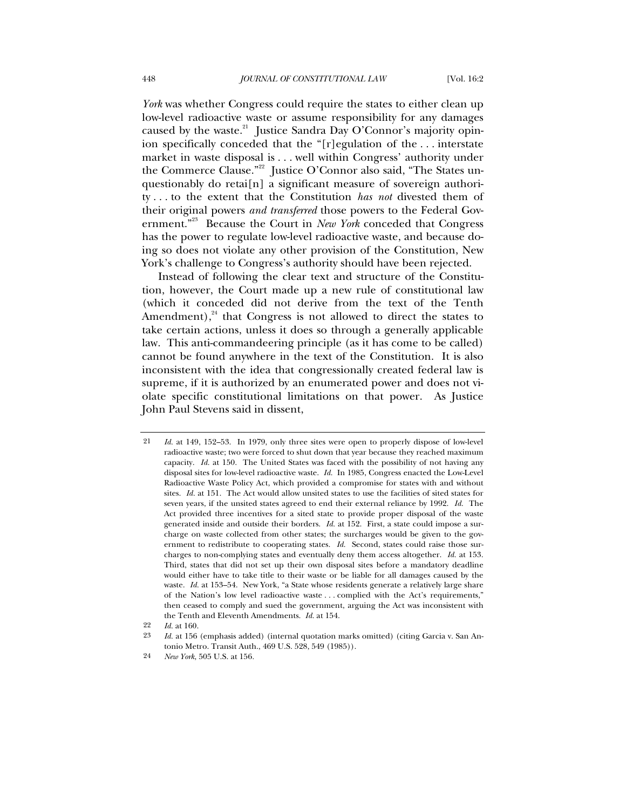*York* was whether Congress could require the states to either clean up low-level radioactive waste or assume responsibility for any damages caused by the waste.<sup>21</sup> Justice Sandra Day O'Connor's majority opinion specifically conceded that the "[r]egulation of the . . . interstate market in waste disposal is . . . well within Congress' authority under the Commerce Clause."<sup>22</sup> Justice O'Connor also said, "The States unquestionably do retai[n] a significant measure of sovereign authority . . . to the extent that the Constitution *has not* divested them of their original powers *and transferred* those powers to the Federal Government."23 Because the Court in *New York* conceded that Congress has the power to regulate low-level radioactive waste, and because doing so does not violate any other provision of the Constitution, New York's challenge to Congress's authority should have been rejected.

Instead of following the clear text and structure of the Constitution, however, the Court made up a new rule of constitutional law (which it conceded did not derive from the text of the Tenth Amendment), $^{24}$  that Congress is not allowed to direct the states to take certain actions, unless it does so through a generally applicable law. This anti-commandeering principle (as it has come to be called) cannot be found anywhere in the text of the Constitution. It is also inconsistent with the idea that congressionally created federal law is supreme, if it is authorized by an enumerated power and does not violate specific constitutional limitations on that power. As Justice John Paul Stevens said in dissent,

<sup>21</sup> *Id.* at 149, 152–53. In 1979, only three sites were open to properly dispose of low-level radioactive waste; two were forced to shut down that year because they reached maximum capacity. *Id.* at 150. The United States was faced with the possibility of not having any disposal sites for low-level radioactive waste. *Id.* In 1985, Congress enacted the Low-Level Radioactive Waste Policy Act, which provided a compromise for states with and without sites. *Id.* at 151. The Act would allow unsited states to use the facilities of sited states for seven years, if the unsited states agreed to end their external reliance by 1992. *Id.* The Act provided three incentives for a sited state to provide proper disposal of the waste generated inside and outside their borders. *Id.* at 152. First, a state could impose a surcharge on waste collected from other states; the surcharges would be given to the government to redistribute to cooperating states. *Id.* Second, states could raise those surcharges to non-complying states and eventually deny them access altogether. *Id.* at 153. Third, states that did not set up their own disposal sites before a mandatory deadline would either have to take title to their waste or be liable for all damages caused by the waste. *Id.* at 153–54. New York, "a State whose residents generate a relatively large share of the Nation's low level radioactive waste . . . complied with the Act's requirements," then ceased to comply and sued the government, arguing the Act was inconsistent with the Tenth and Eleventh Amendments. *Id.* at 154.

<sup>22</sup> *Id.* at 160.

<sup>23</sup> *Id.* at 156 (emphasis added) (internal quotation marks omitted) (citing Garcia v. San Antonio Metro. Transit Auth., 469 U.S. 528, 549 (1985)).

<sup>24</sup> *New York*, 505 U.S. at 156*.*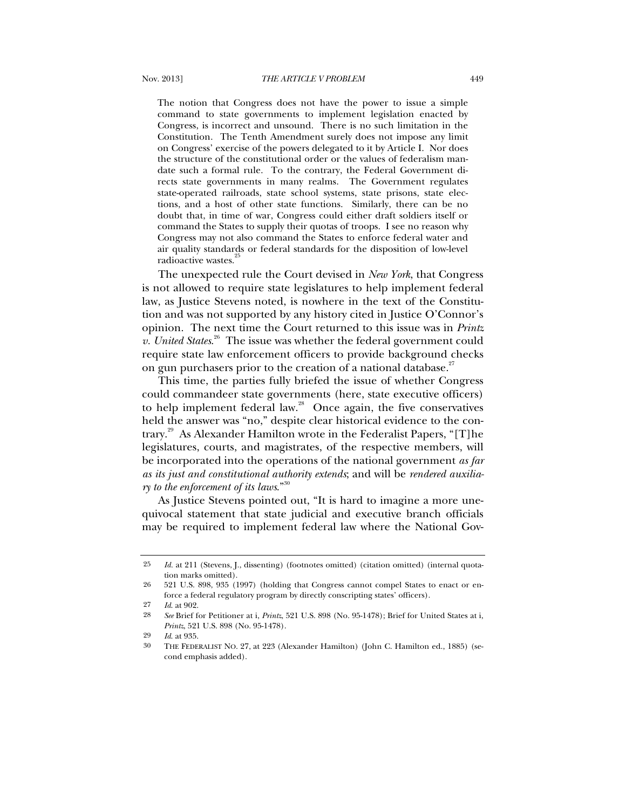The notion that Congress does not have the power to issue a simple command to state governments to implement legislation enacted by Congress, is incorrect and unsound. There is no such limitation in the Constitution. The Tenth Amendment surely does not impose any limit on Congress' exercise of the powers delegated to it by Article I. Nor does the structure of the constitutional order or the values of federalism mandate such a formal rule. To the contrary, the Federal Government directs state governments in many realms. The Government regulates state-operated railroads, state school systems, state prisons, state elections, and a host of other state functions. Similarly, there can be no doubt that, in time of war, Congress could either draft soldiers itself or command the States to supply their quotas of troops. I see no reason why Congress may not also command the States to enforce federal water and air quality standards or federal standards for the disposition of low-level radioactive wastes.<sup>2</sup>

The unexpected rule the Court devised in *New York*, that Congress is not allowed to require state legislatures to help implement federal law, as Justice Stevens noted, is nowhere in the text of the Constitution and was not supported by any history cited in Justice O'Connor's opinion. The next time the Court returned to this issue was in *Printz v. United States*. 26 The issue was whether the federal government could require state law enforcement officers to provide background checks on gun purchasers prior to the creation of a national database.<sup>27</sup>

This time, the parties fully briefed the issue of whether Congress could commandeer state governments (here, state executive officers) to help implement federal law. $28$  Once again, the five conservatives held the answer was "no," despite clear historical evidence to the contrary.<sup>29</sup> As Alexander Hamilton wrote in the Federalist Papers, "[T]he legislatures, courts, and magistrates, of the respective members, will be incorporated into the operations of the national government *as far as its just and constitutional authority extends*; and will be *rendered auxiliary to the enforcement of its laws*."30

As Justice Stevens pointed out, "It is hard to imagine a more unequivocal statement that state judicial and executive branch officials may be required to implement federal law where the National Gov-

<sup>25</sup> *Id.* at 211 (Stevens, J., dissenting) (footnotes omitted) (citation omitted) (internal quotation marks omitted).

<sup>26 521</sup> U.S. 898, 935 (1997) (holding that Congress cannot compel States to enact or enforce a federal regulatory program by directly conscripting states' officers).

<sup>27</sup> *Id*. at 902.

<sup>28</sup> *See* Brief for Petitioner at i, *Printz*, 521 U.S. 898 (No. 95-1478); Brief for United States at i, *Printz*, 521 U.S. 898 (No. 95-1478).

<sup>29</sup> *Id*. at 935.

<sup>30</sup> THE FEDERALIST NO. 27, at 223 (Alexander Hamilton) (John C. Hamilton ed., 1885) (second emphasis added).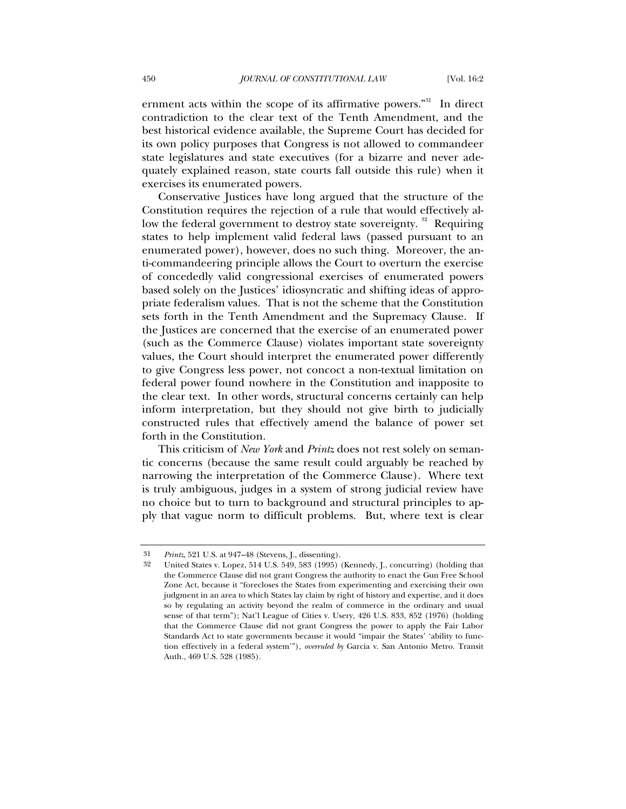ernment acts within the scope of its affirmative powers."<sup>31</sup> In direct contradiction to the clear text of the Tenth Amendment, and the best historical evidence available, the Supreme Court has decided for its own policy purposes that Congress is not allowed to commandeer state legislatures and state executives (for a bizarre and never adequately explained reason, state courts fall outside this rule) when it exercises its enumerated powers.

Conservative Justices have long argued that the structure of the Constitution requires the rejection of a rule that would effectively allow the federal government to destroy state sovereignty.<sup>32</sup> Requiring states to help implement valid federal laws (passed pursuant to an enumerated power), however, does no such thing. Moreover, the anti-commandeering principle allows the Court to overturn the exercise of concededly valid congressional exercises of enumerated powers based solely on the Justices' idiosyncratic and shifting ideas of appropriate federalism values. That is not the scheme that the Constitution sets forth in the Tenth Amendment and the Supremacy Clause. If the Justices are concerned that the exercise of an enumerated power (such as the Commerce Clause) violates important state sovereignty values, the Court should interpret the enumerated power differently to give Congress less power, not concoct a non-textual limitation on federal power found nowhere in the Constitution and inapposite to the clear text. In other words, structural concerns certainly can help inform interpretation, but they should not give birth to judicially constructed rules that effectively amend the balance of power set forth in the Constitution.

This criticism of *New York* and *Printz* does not rest solely on semantic concerns (because the same result could arguably be reached by narrowing the interpretation of the Commerce Clause). Where text is truly ambiguous, judges in a system of strong judicial review have no choice but to turn to background and structural principles to apply that vague norm to difficult problems. But, where text is clear

<sup>31</sup> *Printz*, 521 U.S. at 947–48 (Stevens, J., dissenting).

United States v. Lopez, 514 U.S. 549, 583 (1995) (Kennedy, J., concurring) (holding that the Commerce Clause did not grant Congress the authority to enact the Gun Free School Zone Act, because it "forecloses the States from experimenting and exercising their own judgment in an area to which States lay claim by right of history and expertise, and it does so by regulating an activity beyond the realm of commerce in the ordinary and usual sense of that term"); Nat'l League of Cities v. Usery, 426 U.S. 833, 852 (1976) (holding that the Commerce Clause did not grant Congress the power to apply the Fair Labor Standards Act to state governments because it would "impair the States' 'ability to function effectively in a federal system'"), *overruled by* Garcia v. San Antonio Metro. Transit Auth., 469 U.S. 528 (1985).